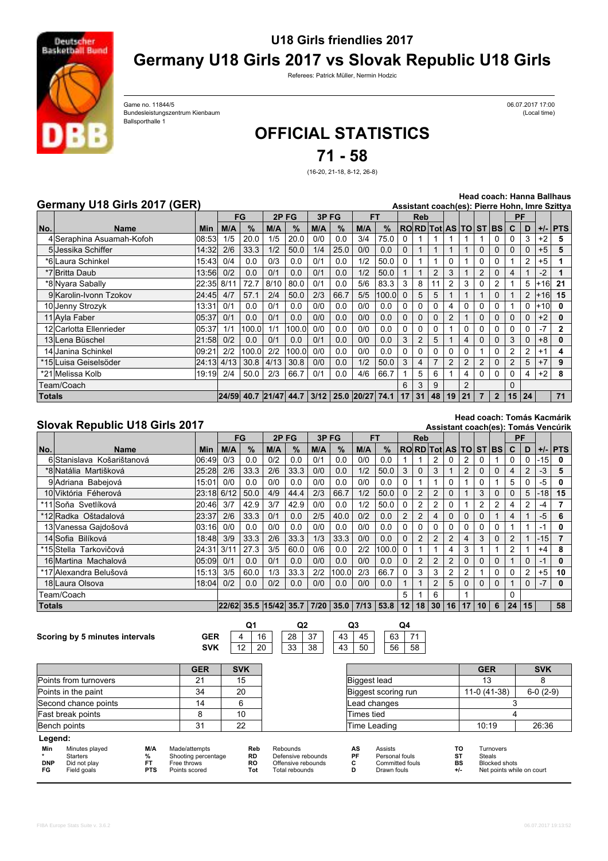

## **U18 Girls friendlies 2017 Germany U18 Girls 2017 vs Slovak Republic U18 Girls**

Referees: Patrick Müller, Nermin Hodzic

Bundesleistungszentrum Kienbaum (Local time) Game no. 11844/5 Ballsporthalle 1

06.07.2017 17:00

## **OFFICIAL STATISTICS**

**71 - 58**

(16-20, 21-18, 8-12, 26-8)

## **Germany U18 Girls 2017 (GER)**

**Head coach: Hanna Ballhaus**

|               | Germany U18 Girls 2017 (GER) |            |     |                  |      |       |      |                        |     |       |          |              |                |                             |    |          |                |          |          |       | Assistant coach(es): Pierre Hohn, Imre Szittya |
|---------------|------------------------------|------------|-----|------------------|------|-------|------|------------------------|-----|-------|----------|--------------|----------------|-----------------------------|----|----------|----------------|----------|----------|-------|------------------------------------------------|
|               |                              |            |     | FG               | 2PFG |       | 3PFG |                        | FT  |       |          | <b>Reb</b>   |                |                             |    |          |                | PF       |          |       |                                                |
| No.           | Name                         | <b>Min</b> | M/A | $\%$             | M/A  | $\%$  | M/A  | $\%$                   | M/A | $\%$  |          |              |                | <b>RORD Tot AS TO ST BS</b> |    |          |                | C        | D        |       | $+/-$ PTS                                      |
|               | 4 Seraphina Asuamah-Kofoh    | 08:53      | 1/5 | 20.0             | 1/5  | 20.0  | 0/0  | 0.0                    | 3/4 | 75.0  |          |              |                |                             |    |          |                |          |          | $+2$  | 5                                              |
|               | 5 Jessika Schiffer           | 14:32      | 2/6 | 33.3             | 1/2  | 50.0  | 1/4  | 25.0                   | 0/0 | 0.0   |          |              |                |                             |    | 0        | $\Omega$       |          |          | $+5$  | 5                                              |
|               | *6 Laura Schinkel            | 15:43      | 0/4 | 0.0              | 0/3  | 0.0   | 0/1  | 0.0                    | 1/2 | 50.0  | 0        |              |                | 0                           |    | 0        |                |          | 2        | $+5$  |                                                |
|               | *7 Britta Daub               | 13:56l     | 0/2 | 0.0              | 0/1  | 0.0   | 0/1  | 0.0                    | 1/2 | 50.0  |          |              | $\overline{2}$ | 3                           |    | 2        | 0              | 4        |          | $-2$  |                                                |
|               | *8 Nyara Sabally             | 22:35 8/11 |     | 72.7             | 8/10 | 80.0  | 0/1  | 0.0                    | 5/6 | 83.3  | 3        | 8            |                | 2                           | 3  | 0        | 2              |          | 5        | l+16l | 21                                             |
|               | 9 Karolin-Ivonn Tzokov       | 24:45      | 4/7 | 57.1             | 2/4  | 50.0  | 2/3  | 66.7                   | 5/5 | 100.0 |          | 5            | 5              |                             |    |          | $\Omega$       |          | 2        | $+16$ | 15                                             |
|               | 10 Jenny Strozyk             | 13:31      | 0/1 | 0.0              | 0/1  | 0.0   | 0/0  | 0.0                    | 0/0 | 0.0   |          |              | 0              |                             | 0  |          | $\Omega$       |          | 0        | l+10l | 0                                              |
|               | 11 Avla Faber                | 05:37      | 0/1 | 0.0              | 0/1  | 0.0   | 0/0  | 0.0                    | 0/0 | 0.0   |          | <sup>0</sup> | $\Omega$       | $\mathcal{P}$               |    | 0        | $\Omega$       |          | $\Omega$ | $+2$  | 0                                              |
|               | 12 Carlotta Ellenrieder      | 05:37      | 1/1 | 100.0            | 1/1  | 100.0 | 0/0  | 0.0                    | 0/0 | 0.0   | $\Omega$ | O            | 0              |                             | 0  |          | $\Omega$       |          |          |       | $\overline{2}$                                 |
|               | 13 Lena Büschel              | 21:58      | 0/2 | 0.0              | 0/1  | 0.0   | 0/1  | 0.0                    | 0/0 | 0.0   | 3        | 2            | 5              |                             | 4  | $\Omega$ | $\Omega$       | 3        | $\Omega$ | $+8$  | 0                                              |
|               | 14 Janina Schinkel           | 09:21      | 2/2 | 100.0            | 2/2  | 100.0 | 0/0  | 0.0                    | 0/0 | 0.0   |          |              | 0              | 0                           | 0  |          |                |          |          | $+1$  | 4                                              |
|               | *15lLuisa Geiselsöder        | 24:13 4/13 |     | 30.8             | 4/13 | 30.8  | 0/0  | 0.0                    | 1/2 | 50.0  | 3        | 4            |                | 2                           |    |          | 0              |          | 5        | $+7$  | 9                                              |
|               | *21 Melissa Kolb             | 19:19      | 2/4 | 50.0             | 2/3  | 66.7  | 0/1  | 0.0                    | 4/6 | 66.7  |          | 5            | 6              |                             | 4  | 0        | 0              |          | 4        | $+2$  | 8                                              |
|               | Team/Coach                   |            |     |                  |      |       |      |                        |     |       | 6        |              | 9              |                             | 2  |          |                | $\Omega$ |          |       |                                                |
| <b>Totals</b> |                              |            |     | 24/59 40.7 21/47 |      | 44.7  |      | $3/12$ 25.0 20/27 74.1 |     |       | 17       | 31           | 48             | 19 <sup>1</sup>             | 21 |          | $\overline{2}$ | 15       | 24       |       | 71                                             |

## **Slovak Republic U18 Girls 2017**

**Head coach: Tomás Kacmárik Assistant coach(es): Tomás Vencúrik**

|        |                            |            |     | FG   | 2PFG                              |      | 3PFG |       | <b>FT</b> |       |                | <b>Reb</b>     |                      |                |                |          |              | PF       |          |         |              |
|--------|----------------------------|------------|-----|------|-----------------------------------|------|------|-------|-----------|-------|----------------|----------------|----------------------|----------------|----------------|----------|--------------|----------|----------|---------|--------------|
| No.    | <b>Name</b>                | <b>Min</b> | M/A | $\%$ | M/A                               | $\%$ | M/A  | $\%$  | M/A       | %     |                |                | RORD Tot AS TO ST BS |                |                |          |              | C        | D        |         | $+/-$ PTS    |
|        | 6 Stanislava Košarištanová | 06:49      | 0/3 | 0.0  | 0/2                               | 0.0  | 0/1  | 0.0   | 0/0       | 0.0   |                |                |                      | 0              |                | 0        |              | 0        | $\Omega$ | $ -15 $ | 0            |
|        | *8 Natália Martišková      | 25:28      | 2/6 | 33.3 | 2/6                               | 33.3 | 0/0  | 0.0   | 1/2       | 50.0  | 3              | $\Omega$       | 3                    |                | 2              | $\Omega$ | 0            | 4        | 2        | $-3$    | 5            |
|        | 9 Adriana Babejová         | 15:01      | 0/0 | 0.0  | 0/0                               | 0.0  | 0/0  | 0.0   | 0/0       | 0.0   | 0              |                |                      | 0              |                | $\Omega$ |              | 5        | 0        | -5      | 0            |
|        | 10 Viktória Féherová       | 23:18 6/12 |     | 50.0 | 4/9                               | 44.4 | 2/3  | 66.7  | 1/2       | 50.0  | $\Omega$       | $\overline{2}$ | 2                    | 0              |                | 3        | 0            | $\Omega$ | 5        | $-18$   | 15           |
|        | *11 Soňa Svetlíková        | 20:46l     | 3/7 | 42.9 | 3/7                               | 42.9 | 0/0  | 0.0   | 1/2       | 50.0  | $\Omega$       | 2              | 2                    | 0              |                | 2        | 2            | 4        | 2        | -4      | 7            |
|        | *12 Radka Oštadalová       | 23:37      | 2/6 | 33.3 | 0/1                               | 0.0  | 2/5  | 40.0  | 0/2       | 0.0   | $\overline{2}$ | 2              | 4                    | 0              | $\Omega$       | $\Omega$ |              | 4        |          | $-5$    | 6            |
|        | 13 Vanessa Gajdošová       | 03:16      | 0/0 | 0.0  | 0/0                               | 0.0  | 0/0  | 0.0   | 0/0       | 0.0   | 0              | 0              |                      | 0              | 0              | $\Omega$ | 0            |          |          | $-1$    | 0            |
|        | 14 Sofia Bilíková          | 18:48      | 3/9 | 33.3 | 2/6                               | 33.3 | 1/3  | 33.3  | 0/0       | 0.0   | $\Omega$       | 2              | 2                    | $\overline{2}$ | $\overline{4}$ | 3        |              | 2        |          | $-15$   | 7            |
|        | *15 Stella Tarkovičová     | 24:31 3/11 |     | 27.3 | 3/5                               | 60.0 | 0/6  | 0.0   | 2/2       | 100.0 | $\Omega$       |                |                      | 4              | 3              |          |              | 2        |          | $+4$    | 8            |
|        | 16 Martina Machalová       | 05:09      | 0/1 | 0.0  | 0/1                               | 0.0  | 0/0  | 0.0   | 0/0       | 0.0   | $\mathbf 0$    | $\overline{2}$ | 2                    | $\overline{2}$ | $\Omega$       | $\Omega$ | 0            |          | $\Omega$ | $-1$    | 0            |
|        | *17 Alexandra Belušová     | 15:13      | 3/5 | 60.0 | 1/3                               | 33.3 | 2/2  | 100.0 | 2/3       | 66.7  | $\Omega$       | 3              | 3                    | $\overline{2}$ | 2              |          | 0            | $\Omega$ | 2        | $+5$    | 10           |
|        | 18 Laura Olsova            | 18:04      | 0/2 | 0.0  | 0/2                               | 0.0  | 0/0  | 0.0   | 0/0       | 0.0   |                |                | 2                    | 5              | 0              | $\Omega$ | $\mathbf{0}$ |          | 0        | $-7$    | $\mathbf{0}$ |
|        | Team/Coach                 |            |     |      |                                   |      |      |       |           |       | 5              |                | 6                    |                |                |          |              | $\Omega$ |          |         |              |
| Totals |                            |            |     |      | $ 22/62 $ 35.5 $ 15/42 $ 35.7 $ $ |      | 7/20 | 35.0  | 7/13      | 53.8  | 12             | 18             | 30                   | 16             | 17             | 10       | 6            | 24       | 15       |         | 58           |

| Scoring by 5 minutes intervals |  |  |  |  | <b>GER</b> |
|--------------------------------|--|--|--|--|------------|
|--------------------------------|--|--|--|--|------------|

**Legend:**

**SVK** 4 12 20  $\overline{16}$ 33 38  $28$  37

43 50  $43 \mid 45$ 45 | | 63 | 71 56 58 **Q1 Q2 Q3 Q4**

|                       | <b>GER</b> | <b>SVK</b> |
|-----------------------|------------|------------|
| Points from turnovers | 21         | 15         |
| Points in the paint   | 34         | 20         |
| Second chance points  | 14         |            |
| Fast break points     |            | 10         |
| Bench points          | 31         | 22         |
| <b>I</b> enend        |            |            |

| Min<br><b>DNP</b><br>FG | Minutes played<br>Starters<br>Did not play<br>Field goals | M/A<br>PTS | Made/attempts<br>Shooting percentage<br>Free throws<br>Points scored | Reb<br><b>RD</b><br>RO<br>Tot | Rebounds<br>Defensive rebounds<br>Offensive rebounds<br>Total rebounds | AS<br>PF | Assists<br>Personal fouls<br>Committed fouls<br>Drawn fouls | BS | Turnovers<br>Steals<br><b>Blocked shots</b><br>Net points while on court |
|-------------------------|-----------------------------------------------------------|------------|----------------------------------------------------------------------|-------------------------------|------------------------------------------------------------------------|----------|-------------------------------------------------------------|----|--------------------------------------------------------------------------|
|-------------------------|-----------------------------------------------------------|------------|----------------------------------------------------------------------|-------------------------------|------------------------------------------------------------------------|----------|-------------------------------------------------------------|----|--------------------------------------------------------------------------|